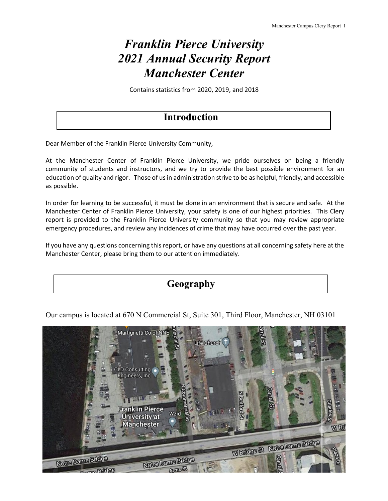# *Franklin Pierce University 2021 Annual Security Report Manchester Center*

Contains statistics from 2020, 2019, and 2018

### **Introduction**

Dear Member of the Franklin Pierce University Community,

At the Manchester Center of Franklin Pierce University, we pride ourselves on being a friendly community of students and instructors, and we try to provide the best possible environment for an education of quality and rigor. Those of us in administration strive to be as helpful, friendly, and accessible as possible.

In order for learning to be successful, it must be done in an environment that is secure and safe. At the Manchester Center of Franklin Pierce University, your safety is one of our highest priorities. This Clery report is provided to the Franklin Pierce University community so that you may review appropriate emergency procedures, and review any incidences of crime that may have occurred over the past year.

If you have any questions concerning this report, or have any questions at all concerning safety here at the Manchester Center, please bring them to our attention immediately.

**Geography**

Our campus is located at 670 N Commercial St, Suite 301, Third Floor, Manchester, NH 03101

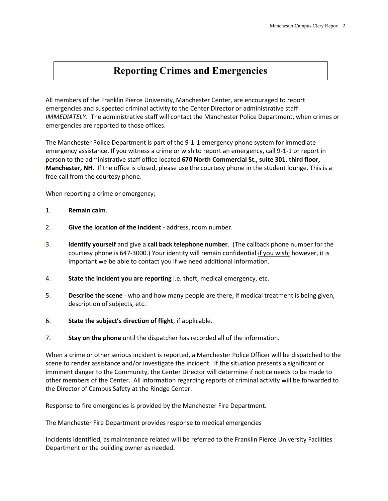## **Reporting Crimes and Emergencies**

All members of the Franklin Pierce University, Manchester Center, are encouraged to report emergencies and suspected criminal activity to the Center Director or administrative staff *IMMEDIATELY*. The administrative staff will contact the Manchester Police Department, when crimes or emergencies are reported to those offices.

The Manchester Police Department is part of the 9-1-1 emergency phone system for immediate emergency assistance. If you witness a crime or wish to report an emergency, call 9-1-1 or report in person to the administrative staff office located **670 North Commercial St., suite 301, third floor, Manchester, NH**. If the office is closed, please use the courtesy phone in the student lounge. This is a free call from the courtesy phone.

When reporting a crime or emergency;

- 1. **Remain calm**.
- 2. **Give the location of the incident** address, room number.
- 3. **Identify yourself** and give a **call back telephone number**. (The callback phone number for the courtesy phone is 647-3000.) Your identity will remain confidential if you wish; however, it is important we be able to contact you if we need additional information.
- 4. **State the incident you are reporting** i.e. theft, medical emergency, etc.
- 5. **Describe the scene** who and how many people are there, if medical treatment is being given, description of subjects, etc.
- 6. **State the subject's direction of flight**, if applicable.
- 7. **Stay on the phone** until the dispatcher has recorded all of the information.

When a crime or other serious incident is reported, a Manchester Police Officer will be dispatched to the scene to render assistance and/or investigate the incident. If the situation presents a significant or imminent danger to the Community, the Center Director will determine if notice needs to be made to other members of the Center. All information regarding reports of criminal activity will be forwarded to the Director of Campus Safety at the Rindge Center.

Response to fire emergencies is provided by the Manchester Fire Department.

The Manchester Fire Department provides response to medical emergencies

Incidents identified, as maintenance related will be referred to the Franklin Pierce University Facilities Department or the building owner as needed.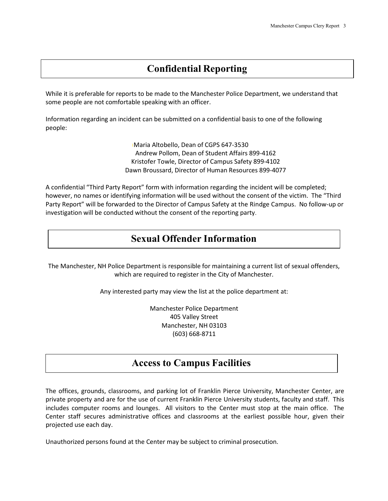### **Confidential Reporting**

While it is preferable for reports to be made to the Manchester Police Department, we understand that some people are not comfortable speaking with an officer.

Information regarding an incident can be submitted on a confidential basis to one of the following people:

> Maria Altobello, Dean of CGPS 647-3530 Andrew Pollom, Dean of Student Affairs 899-4162 Kristofer Towle, Director of Campus Safety 899-4102 Dawn Broussard, Director of Human Resources 899-4077

A confidential "Third Party Report" form with information regarding the incident will be completed; however, no names or identifying information will be used without the consent of the victim. The "Third Party Report" will be forwarded to the Director of Campus Safety at the Rindge Campus. No follow-up or investigation will be conducted without the consent of the reporting party.

### **Sexual Offender Information**

The Manchester, NH Police Department is responsible for maintaining a current list of sexual offenders, which are required to register in the City of Manchester.

Any interested party may view the list at the police department at:

Manchester Police Department 405 Valley Street Manchester, NH 03103 (603) 668-8711

### **Access to Campus Facilities**

The offices, grounds, classrooms, and parking lot of Franklin Pierce University, Manchester Center, are private property and are for the use of current Franklin Pierce University students, faculty and staff. This includes computer rooms and lounges. All visitors to the Center must stop at the main office. The Center staff secures administrative offices and classrooms at the earliest possible hour, given their projected use each day.

Unauthorized persons found at the Center may be subject to criminal prosecution.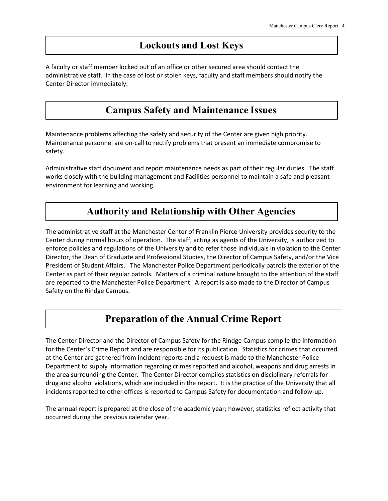### **Lockouts and Lost Keys**

A faculty or staff member locked out of an office or other secured area should contact the administrative staff. In the case of lost or stolen keys, faculty and staff members should notify the Center Director immediately.

## **Campus Safety and Maintenance Issues**

Maintenance problems affecting the safety and security of the Center are given high priority. Maintenance personnel are on-call to rectify problems that present an immediate compromise to safety.

Administrative staff document and report maintenance needs as part of their regular duties. The staff works closely with the building management and Facilities personnel to maintain a safe and pleasant environment for learning and working.

### **Authority and Relationship with Other Agencies**

The administrative staff at the Manchester Center of Franklin Pierce University provides security to the Center during normal hours of operation. The staff, acting as agents of the University, is authorized to enforce policies and regulations of the University and to refer those individuals in violation to the Center Director, the Dean of Graduate and Professional Studies, the Director of Campus Safety, and/or the Vice President of Student Affairs. The Manchester Police Department periodically patrols the exterior of the Center as part of their regular patrols. Matters of a criminal nature brought to the attention of the staff are reported to the Manchester Police Department. A report is also made to the Director of Campus Safety on the Rindge Campus.

## **Preparation of the Annual Crime Report**

The Center Director and the Director of Campus Safety for the Rindge Campus compile the information for the Center's Crime Report and are responsible for its publication. Statistics for crimes that occurred at the Center are gathered from incident reports and a request is made to the Manchester Police Department to supply information regarding crimes reported and alcohol, weapons and drug arrests in the area surrounding the Center. The Center Director compiles statistics on disciplinary referrals for drug and alcohol violations, which are included in the report. It is the practice of the University that all incidents reported to other offices is reported to Campus Safety for documentation and follow-up.

The annual report is prepared at the close of the academic year; however, statistics reflect activity that occurred during the previous calendar year.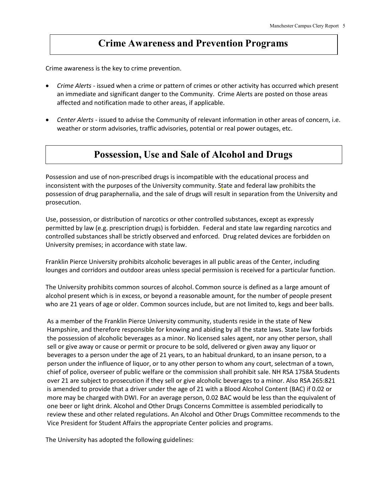### **Crime Awareness and Prevention Programs**

Crime awareness is the key to crime prevention.

- *Crime Alerts* issued when a crime or pattern of crimes or other activity has occurred which present an immediate and significant danger to the Community. Crime Alerts are posted on those areas affected and notification made to other areas, if applicable.
- *Center Alerts* issued to advise the Community of relevant information in other areas of concern, i.e. weather or storm advisories, traffic advisories, potential or real power outages, etc.

### **Possession, Use and Sale of Alcohol and Drugs**

Possession and use of non-prescribed drugs is incompatible with the educational process and inconsistent with the purposes of the University community. State and federal law prohibits the possession of drug paraphernalia, and the sale of drugs will result in separation from the University and prosecution.

Use, possession, or distribution of narcotics or other controlled substances, except as expressly permitted by law (e.g. prescription drugs) is forbidden. Federal and state law regarding narcotics and controlled substances shall be strictly observed and enforced. Drug related devices are forbidden on University premises; in accordance with state law.

Franklin Pierce University prohibits alcoholic beverages in all public areas of the Center, including lounges and corridors and outdoor areas unless special permission is received for a particular function.

The University prohibits common sources of alcohol. Common source is defined as a large amount of alcohol present which is in excess, or beyond a reasonable amount, for the number of people present who are 21 years of age or older. Common sources include, but are not limited to, kegs and beer balls.

As a member of the Franklin Pierce University community, students reside in the state of New Hampshire, and therefore responsible for knowing and abiding by all the state laws. State law forbids the possession of alcoholic beverages as a minor. No licensed sales agent, nor any other person, shall sell or give away or cause or permit or procure to be sold, delivered or given away any liquor or beverages to a person under the age of 21 years, to an habitual drunkard, to an insane person, to a person under the influence of liquor, or to any other person to whom any court, selectman of a town, chief of police, overseer of public welfare or the commission shall prohibit sale. NH RSA 1758A Students over 21 are subject to prosecution if they sell or give alcoholic beverages to a minor. Also RSA 265:821 is amended to provide that a driver under the age of 21 with a Blood Alcohol Content (BAC) if 0.02 or more may be charged with DWI. For an average person, 0.02 BAC would be less than the equivalent of one beer or light drink. Alcohol and Other Drugs Concerns Committee is assembled periodically to review these and other related regulations. An Alcohol and Other Drugs Committee recommends to the Vice President for Student Affairs the appropriate Center policies and programs.

The University has adopted the following guidelines: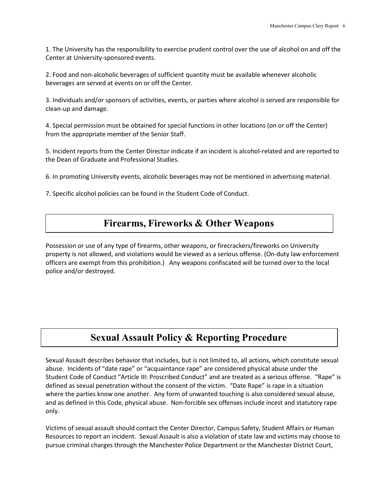1. The University has the responsibility to exercise prudent control over the use of alcohol on and off the Center at University-sponsored events.

2. Food and non-alcoholic beverages of sufficient quantity must be available whenever alcoholic beverages are served at events on or off the Center.

3. Individuals and/or sponsors of activities, events, or parties where alcohol is served are responsible for clean-up and damage.

4. Special permission must be obtained for special functions in other locations (on or off the Center) from the appropriate member of the Senior Staff.

5. Incident reports from the Center Director indicate if an incident is alcohol-related and are reported to the Dean of Graduate and Professional Studies.

6. In promoting University events, alcoholic beverages may not be mentioned in advertising material.

7. Specific alcohol policies can be found in the Student Code of Conduct.

### **Firearms, Fireworks & Other Weapons**

Possession or use of any type of firearms, other weapons, or firecrackers/fireworks on University property is not allowed, and violations would be viewed as a serious offense. (On-duty law enforcement officers are exempt from this prohibition.) Any weapons confiscated will be turned over to the local police and/or destroyed.

## **Sexual Assault Policy & Reporting Procedure**

Sexual Assault describes behavior that includes, but is not limited to, all actions, which constitute sexual abuse. Incidents of "date rape" or "acquaintance rape" are considered physical abuse under the Student Code of Conduct "Article III: Proscribed Conduct" and are treated as a serious offense. "Rape" is defined as sexual penetration without the consent of the victim. "Date Rape" is rape in a situation where the parties know one another. Any form of unwanted touching is also considered sexual abuse, and as defined in this Code, physical abuse. Non-forcible sex offenses include incest and statutory rape only.

Victims of sexual assault should contact the Center Director, Campus Safety, Student Affairs or Human Resources to report an incident. Sexual Assault is also a violation of state law and victims may choose to pursue criminal charges through the Manchester Police Department or the Manchester District Court,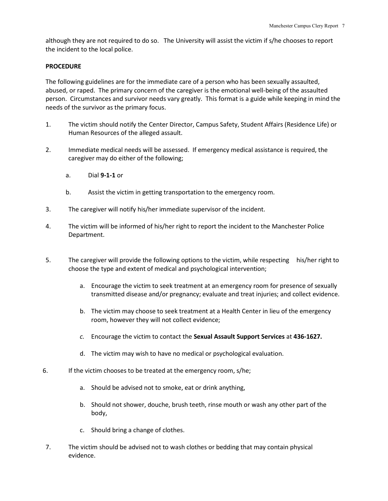although they are not required to do so. The University will assist the victim if s/he chooses to report the incident to the local police.

#### **PROCEDURE**

The following guidelines are for the immediate care of a person who has been sexually assaulted, abused, or raped. The primary concern of the caregiver is the emotional well-being of the assaulted person. Circumstances and survivor needs vary greatly. This format is a guide while keeping in mind the needs of the survivor as the primary focus.

- 1. The victim should notify the Center Director, Campus Safety, Student Affairs (Residence Life) or Human Resources of the alleged assault.
- 2. Immediate medical needs will be assessed. If emergency medical assistance is required, the caregiver may do either of the following;
	- a. Dial **9-1-1** or
	- b. Assist the victim in getting transportation to the emergency room.
- 3. The caregiver will notify his/her immediate supervisor of the incident.
- 4. The victim will be informed of his/her right to report the incident to the Manchester Police Department.
- 5. The caregiver will provide the following options to the victim, while respecting his/her right to choose the type and extent of medical and psychological intervention;
	- a. Encourage the victim to seek treatment at an emergency room for presence of sexually transmitted disease and/or pregnancy; evaluate and treat injuries; and collect evidence.
	- b. The victim may choose to seek treatment at a Health Center in lieu of the emergency room, however they will not collect evidence;
	- *c.* Encourage the victim to contact the **Sexual Assault Support Services** at **436-1627.**
	- d. The victim may wish to have no medical or psychological evaluation.
- 6. If the victim chooses to be treated at the emergency room, s/he;
	- a. Should be advised not to smoke, eat or drink anything,
	- b. Should not shower, douche, brush teeth, rinse mouth or wash any other part of the body,
	- c. Should bring a change of clothes.
- 7. The victim should be advised not to wash clothes or bedding that may contain physical evidence.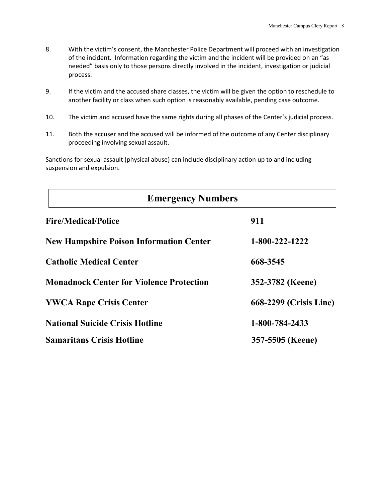- 8. With the victim's consent, the Manchester Police Department will proceed with an investigation of the incident. Information regarding the victim and the incident will be provided on an "as needed" basis only to those persons directly involved in the incident, investigation or judicial process.
- 9. If the victim and the accused share classes, the victim will be given the option to reschedule to another facility or class when such option is reasonably available, pending case outcome.
- 10. The victim and accused have the same rights during all phases of the Center's judicial process.
- 11. Both the accuser and the accused will be informed of the outcome of any Center disciplinary proceeding involving sexual assault.

Sanctions for sexual assault (physical abuse) can include disciplinary action up to and including suspension and expulsion.

| <b>Emergency Numbers</b>                        |                        |  |  |  |
|-------------------------------------------------|------------------------|--|--|--|
| <b>Fire/Medical/Police</b>                      | 911                    |  |  |  |
| <b>New Hampshire Poison Information Center</b>  | 1-800-222-1222         |  |  |  |
| <b>Catholic Medical Center</b>                  | 668-3545               |  |  |  |
| <b>Monadnock Center for Violence Protection</b> | 352-3782 (Keene)       |  |  |  |
| <b>YWCA Rape Crisis Center</b>                  | 668-2299 (Crisis Line) |  |  |  |
| <b>National Suicide Crisis Hotline</b>          | 1-800-784-2433         |  |  |  |
| <b>Samaritans Crisis Hotline</b>                | 357-5505 (Keene)       |  |  |  |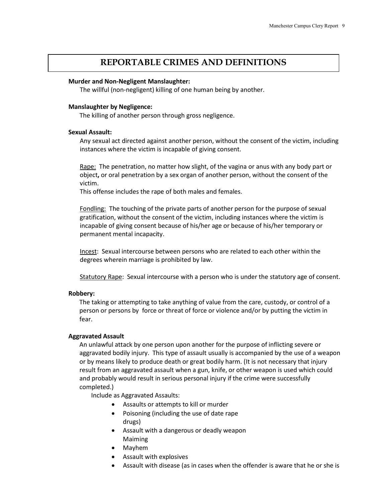### **REPORTABLE CRIMES AND DEFINITIONS**

#### **Murder and Non-Negligent Manslaughter:**

The willful (non-negligent) killing of one human being by another.

#### **Manslaughter by Negligence:**

The killing of another person through gross negligence.

#### **Sexual Assault:**

Any sexual act directed against another person, without the consent of the victim, including instances where the victim is incapable of giving consent.

Rape: The penetration, no matter how slight, of the vagina or anus with any body part or object**,** or oral penetration by a sex organ of another person, without the consent of the victim.

This offense includes the rape of both males and females.

Fondling: The touching of the private parts of another person for the purpose of sexual gratification, without the consent of the victim, including instances where the victim is incapable of giving consent because of his/her age or because of his/her temporary or permanent mental incapacity.

Incest: Sexual intercourse between persons who are related to each other within the degrees wherein marriage is prohibited by law.

Statutory Rape: Sexual intercourse with a person who is under the statutory age of consent.

#### **Robbery:**

The taking or attempting to take anything of value from the care, custody, or control of a person or persons by force or threat of force or violence and/or by putting the victim in fear.

#### **Aggravated Assault**

An unlawful attack by one person upon another for the purpose of inflicting severe or aggravated bodily injury. This type of assault usually is accompanied by the use of a weapon or by means likely to produce death or great bodily harm. (It is not necessary that injury result from an aggravated assault when a gun, knife, or other weapon is used which could and probably would result in serious personal injury if the crime were successfully completed.)

Include as Aggravated Assaults:

- Assaults or attempts to kill or murder
- Poisoning (including the use of date rape drugs)
- Assault with a dangerous or deadly weapon Maiming
- Mayhem
- Assault with explosives
- Assault with disease (as in cases when the offender is aware that he or she is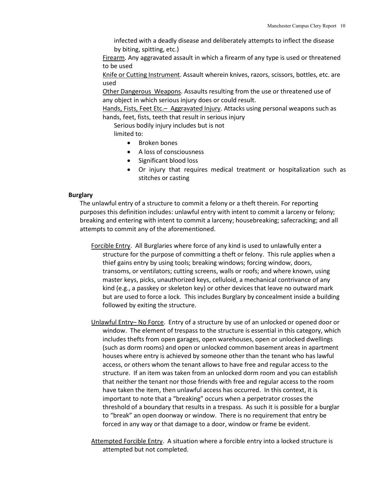infected with a deadly disease and deliberately attempts to inflect the disease by biting, spitting, etc.)

Firearm. Any aggravated assault in which a firearm of any type is used or threatened to be used

Knife or Cutting Instrument. Assault wherein knives, razors, scissors, bottles, etc. are used

Other Dangerous Weapons. Assaults resulting from the use or threatened use of any object in which serious injury does or could result.

Hands, Fists, Feet Etc.– Aggravated Injury. Attacks using personal weapons such as hands, feet, fists, teeth that result in serious injury

Serious bodily injury includes but is not limited to:

- Broken bones
- A loss of consciousness
- Significant blood loss
- Or injury that requires medical treatment or hospitalization such as stitches or casting

#### **Burglary**

The unlawful entry of a structure to commit a felony or a theft therein. For reporting purposes this definition includes: unlawful entry with intent to commit a larceny or felony; breaking and entering with intent to commit a larceny; housebreaking; safecracking; and all attempts to commit any of the aforementioned.

- Forcible Entry. All Burglaries where force of any kind is used to unlawfully enter a structure for the purpose of committing a theft or felony. This rule applies when a thief gains entry by using tools; breaking windows; forcing window, doors, transoms, or ventilators; cutting screens, walls or roofs; and where known, using master keys, picks, unauthorized keys, celluloid, a mechanical contrivance of any kind (e.g., a passkey or skeleton key) or other devices that leave no outward mark but are used to force a lock. This includes Burglary by concealment inside a building followed by exiting the structure.
- Unlawful Entry– No Force. Entry of a structure by use of an unlocked or opened door or window. The element of trespass to the structure is essential in this category, which includes thefts from open garages, open warehouses, open or unlocked dwellings (such as dorm rooms) and open or unlocked common basement areas in apartment houses where entry is achieved by someone other than the tenant who has lawful access, or others whom the tenant allows to have free and regular access to the structure. If an item was taken from an unlocked dorm room and you can establish that neither the tenant nor those friends with free and regular access to the room have taken the item, then unlawful access has occurred. In this context, it is important to note that a "breaking" occurs when a perpetrator crosses the threshold of a boundary that results in a trespass. As such it is possible for a burglar to "break" an open doorway or window. There is no requirement that entry be forced in any way or that damage to a door, window or frame be evident.
- Attempted Forcible Entry. A situation where a forcible entry into a locked structure is attempted but not completed.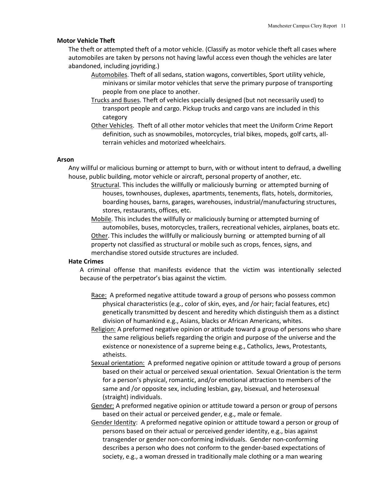#### **Motor Vehicle Theft**

The theft or attempted theft of a motor vehicle. (Classify as motor vehicle theft all cases where automobiles are taken by persons not having lawful access even though the vehicles are later abandoned, including joyriding.)

- Automobiles. Theft of all sedans, station wagons, convertibles, Sport utility vehicle, minivans or similar motor vehicles that serve the primary purpose of transporting people from one place to another.
- Trucks and Buses. Theft of vehicles specially designed (but not necessarily used) to transport people and cargo. Pickup trucks and cargo vans are included in this category
- Other Vehicles. Theft of all other motor vehicles that meet the Uniform Crime Report definition, such as snowmobiles, motorcycles, trial bikes, mopeds, golf carts, allterrain vehicles and motorized wheelchairs.

#### **Arson**

Any willful or malicious burning or attempt to burn, with or without intent to defraud, a dwelling house, public building, motor vehicle or aircraft, personal property of another, etc.

- Structural. This includes the willfully or maliciously burning or attempted burning of houses, townhouses, duplexes, apartments, tenements, flats, hotels, dormitories, boarding houses, barns, garages, warehouses, industrial/manufacturing structures, stores, restaurants, offices, etc.
- Mobile. This includes the willfully or maliciously burning or attempted burning of automobiles, buses, motorcycles, trailers, recreational vehicles, airplanes, boats etc. Other. This includes the willfully or maliciously burning or attempted burning of all property not classified as structural or mobile such as crops, fences, signs, and merchandise stored outside structures are included.

#### **Hate Crimes**

A criminal offense that manifests evidence that the victim was intentionally selected because of the perpetrator's bias against the victim.

- Race: A preformed negative attitude toward a group of persons who possess common physical characteristics (e.g., color of skin, eyes, and /or hair; facial features, etc) genetically transmitted by descent and heredity which distinguish them as a distinct division of humankind e.g., Asians, blacks or African Americans, whites.
- Religion: A preformed negative opinion or attitude toward a group of persons who share the same religious beliefs regarding the origin and purpose of the universe and the existence or nonexistence of a supreme being e.g., Catholics, Jews, Protestants, atheists.
- Sexual orientation: A preformed negative opinion or attitude toward a group of persons based on their actual or perceived sexual orientation. Sexual Orientation is the term for a person's physical, romantic, and/or emotional attraction to members of the same and /or opposite sex, including lesbian, gay, bisexual, and heterosexual (straight) individuals.
- Gender: A preformed negative opinion or attitude toward a person or group of persons based on their actual or perceived gender, e.g., male or female.
- Gender Identity: A preformed negative opinion or attitude toward a person or group of persons based on their actual or perceived gender identity, e.g., bias against transgender or gender non-conforming individuals. Gender non-conforming describes a person who does not conform to the gender-based expectations of society, e.g., a woman dressed in traditionally male clothing or a man wearing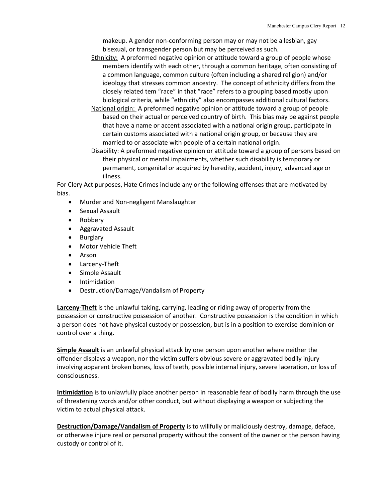makeup. A gender non-conforming person may or may not be a lesbian, gay bisexual, or transgender person but may be perceived as such.

- Ethnicity: A preformed negative opinion or attitude toward a group of people whose members identify with each other, through a common heritage, often consisting of a common language, common culture (often including a shared religion) and/or ideology that stresses common ancestry. The concept of ethnicity differs from the closely related tem "race" in that "race" refers to a grouping based mostly upon biological criteria, while "ethnicity" also encompasses additional cultural factors.
- National origin: A preformed negative opinion or attitude toward a group of people based on their actual or perceived country of birth. This bias may be against people that have a name or accent associated with a national origin group, participate in certain customs associated with a national origin group, or because they are married to or associate with people of a certain national origin.
- Disability: A preformed negative opinion or attitude toward a group of persons based on their physical or mental impairments, whether such disability is temporary or permanent, congenital or acquired by heredity, accident, injury, advanced age or illness.

For Clery Act purposes, Hate Crimes include any or the following offenses that are motivated by bias.

- Murder and Non-negligent Manslaughter
- Sexual Assault
- Robbery
- Aggravated Assault
- Burglary
- Motor Vehicle Theft
- Arson
- Larceny-Theft
- Simple Assault
- Intimidation
- Destruction/Damage/Vandalism of Property

**Larceny-Theft** is the unlawful taking, carrying, leading or riding away of property from the possession or constructive possession of another. Constructive possession is the condition in which a person does not have physical custody or possession, but is in a position to exercise dominion or control over a thing.

**Simple Assault** is an unlawful physical attack by one person upon another where neither the offender displays a weapon, nor the victim suffers obvious severe or aggravated bodily injury involving apparent broken bones, loss of teeth, possible internal injury, severe laceration, or loss of consciousness.

**Intimidation** is to unlawfully place another person in reasonable fear of bodily harm through the use of threatening words and/or other conduct, but without displaying a weapon or subjecting the victim to actual physical attack.

**Destruction/Damage/Vandalism of Property** is to willfully or maliciously destroy, damage, deface, or otherwise injure real or personal property without the consent of the owner or the person having custody or control of it.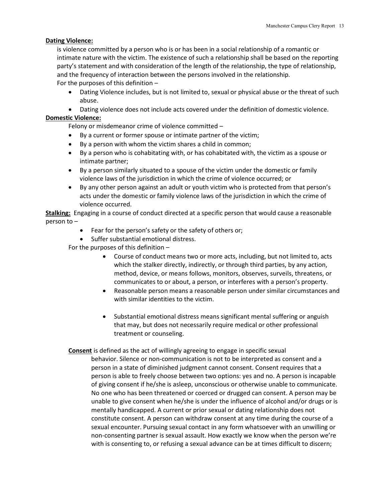#### **Dating Violence:**

is violence committed by a person who is or has been in a social relationship of a romantic or intimate nature with the victim. The existence of such a relationship shall be based on the reporting party's statement and with consideration of the length of the relationship, the type of relationship, and the frequency of interaction between the persons involved in the relationship. For the purposes of this definition –

- Dating Violence includes, but is not limited to, sexual or physical abuse or the threat of such abuse.
- Dating violence does not include acts covered under the definition of domestic violence.

#### **Domestic Violence:**

Felony or misdemeanor crime of violence committed –

- By a current or former spouse or intimate partner of the victim;
- By a person with whom the victim shares a child in common;
- By a person who is cohabitating with, or has cohabitated with, the victim as a spouse or intimate partner;
- By a person similarly situated to a spouse of the victim under the domestic or family violence laws of the jurisdiction in which the crime of violence occurred; or
- By any other person against an adult or youth victim who is protected from that person's acts under the domestic or family violence laws of the jurisdiction in which the crime of violence occurred.

**Stalking:** Engaging in a course of conduct directed at a specific person that would cause a reasonable person to –

- Fear for the person's safety or the safety of others or;
- Suffer substantial emotional distress.

For the purposes of this definition –

- Course of conduct means two or more acts, including, but not limited to, acts which the stalker directly, indirectly, or through third parties, by any action, method, device, or means follows, monitors, observes, surveils, threatens, or communicates to or about, a person, or interferes with a person's property.
- Reasonable person means a reasonable person under similar circumstances and with similar identities to the victim.
- Substantial emotional distress means significant mental suffering or anguish that may, but does not necessarily require medical or other professional treatment or counseling.

#### **Consent** is defined as the act of willingly agreeing to engage in specific sexual

behavior. Silence or non-communication is not to be interpreted as consent and a person in a state of diminished judgment cannot consent. Consent requires that a person is able to freely choose between two options: yes and no. A person is incapable of giving consent if he/she is asleep, unconscious or otherwise unable to communicate. No one who has been threatened or coerced or drugged can consent. A person may be unable to give consent when he/she is under the influence of alcohol and/or drugs or is mentally handicapped. A current or prior sexual or dating relationship does not constitute consent. A person can withdraw consent at any time during the course of a sexual encounter. Pursuing sexual contact in any form whatsoever with an unwilling or non-consenting partner is sexual assault. How exactly we know when the person we're with is consenting to, or refusing a sexual advance can be at times difficult to discern;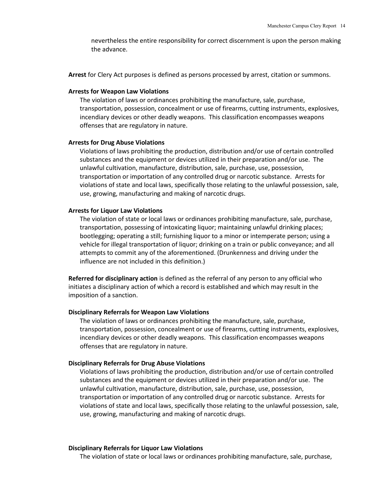nevertheless the entire responsibility for correct discernment is upon the person making the advance.

**Arrest** for Clery Act purposes is defined as persons processed by arrest, citation or summons.

#### **Arrests for Weapon Law Violations**

The violation of laws or ordinances prohibiting the manufacture, sale, purchase, transportation, possession, concealment or use of firearms, cutting instruments, explosives, incendiary devices or other deadly weapons. This classification encompasses weapons offenses that are regulatory in nature.

#### **Arrests for Drug Abuse Violations**

Violations of laws prohibiting the production, distribution and/or use of certain controlled substances and the equipment or devices utilized in their preparation and/or use. The unlawful cultivation, manufacture, distribution, sale, purchase, use, possession, transportation or importation of any controlled drug or narcotic substance. Arrests for violations of state and local laws, specifically those relating to the unlawful possession, sale, use, growing, manufacturing and making of narcotic drugs.

#### **Arrests for Liquor Law Violations**

The violation of state or local laws or ordinances prohibiting manufacture, sale, purchase, transportation, possessing of intoxicating liquor; maintaining unlawful drinking places; bootlegging; operating a still; furnishing liquor to a minor or intemperate person; using a vehicle for illegal transportation of liquor; drinking on a train or public conveyance; and all attempts to commit any of the aforementioned. (Drunkenness and driving under the influence are not included in this definition.)

**Referred for disciplinary action** is defined as the referral of any person to any official who initiates a disciplinary action of which a record is established and which may result in the imposition of a sanction.

#### **Disciplinary Referrals for Weapon Law Violations**

The violation of laws or ordinances prohibiting the manufacture, sale, purchase, transportation, possession, concealment or use of firearms, cutting instruments, explosives, incendiary devices or other deadly weapons. This classification encompasses weapons offenses that are regulatory in nature.

#### **Disciplinary Referrals for Drug Abuse Violations**

Violations of laws prohibiting the production, distribution and/or use of certain controlled substances and the equipment or devices utilized in their preparation and/or use. The unlawful cultivation, manufacture, distribution, sale, purchase, use, possession, transportation or importation of any controlled drug or narcotic substance. Arrests for violations of state and local laws, specifically those relating to the unlawful possession, sale, use, growing, manufacturing and making of narcotic drugs.

#### **Disciplinary Referrals for Liquor Law Violations**

The violation of state or local laws or ordinances prohibiting manufacture, sale, purchase,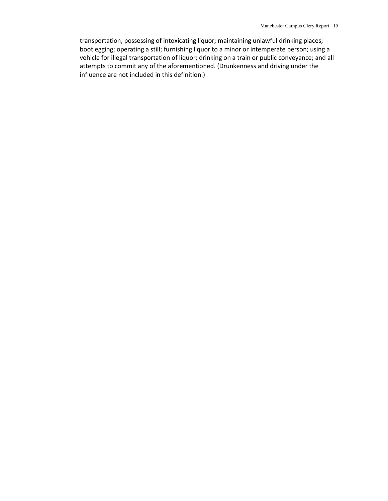transportation, possessing of intoxicating liquor; maintaining unlawful drinking places; bootlegging; operating a still; furnishing liquor to a minor or intemperate person; using a vehicle for illegal transportation of liquor; drinking on a train or public conveyance; and all attempts to commit any of the aforementioned. (Drunkenness and driving under the influence are not included in this definition.)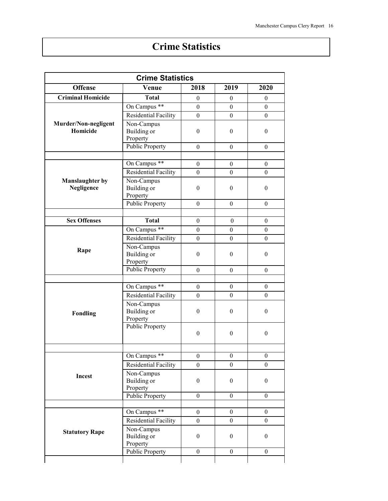## **Crime Statistics**

| <b>Crime Statistics</b>              |                                              |                  |                  |                  |
|--------------------------------------|----------------------------------------------|------------------|------------------|------------------|
| <b>Offense</b>                       | Venue                                        | 2018             | 2019             | 2020             |
| <b>Criminal Homicide</b>             | <b>Total</b>                                 | $\theta$         | $\theta$         | $\theta$         |
|                                      | On Campus **                                 | $\boldsymbol{0}$ | $\boldsymbol{0}$ | $\overline{0}$   |
|                                      | Residential Facility                         | $\boldsymbol{0}$ | $\boldsymbol{0}$ | $\overline{0}$   |
| Murder/Non-negligent<br>Homicide     | Non-Campus<br>Building or<br>Property        | $\boldsymbol{0}$ | $\boldsymbol{0}$ | $\boldsymbol{0}$ |
|                                      | <b>Public Property</b>                       | $\overline{0}$   | $\boldsymbol{0}$ | $\boldsymbol{0}$ |
|                                      |                                              |                  |                  |                  |
|                                      | On Campus **                                 | $\boldsymbol{0}$ | $\mathbf{0}$     | $\boldsymbol{0}$ |
|                                      | Residential Facility                         | $\boldsymbol{0}$ | $\boldsymbol{0}$ | $\overline{0}$   |
| <b>Manslaughter by</b><br>Negligence | Non-Campus<br>Building or<br>Property        | $\boldsymbol{0}$ | $\boldsymbol{0}$ | $\mathbf{0}$     |
|                                      | Public Property                              | $\theta$         | $\boldsymbol{0}$ | $\boldsymbol{0}$ |
|                                      |                                              |                  |                  |                  |
| <b>Sex Offenses</b>                  | <b>Total</b>                                 | $\theta$         | $\mathbf{0}$     | $\boldsymbol{0}$ |
|                                      | On Campus <sup>**</sup>                      | $\boldsymbol{0}$ | $\boldsymbol{0}$ | $\overline{0}$   |
|                                      | Residential Facility                         | $\overline{0}$   | $\boldsymbol{0}$ | $\theta$         |
| Rape                                 | Non-Campus<br><b>Building</b> or<br>Property | $\boldsymbol{0}$ | $\boldsymbol{0}$ | $\boldsymbol{0}$ |
|                                      | <b>Public Property</b>                       | $\boldsymbol{0}$ | $\mathbf{0}$     | $\boldsymbol{0}$ |
|                                      |                                              |                  |                  |                  |
|                                      | On Campus **                                 | $\mathbf{0}$     | $\mathbf{0}$     | $\overline{0}$   |
|                                      | Residential Facility                         | $\mathbf{0}$     | $\mathbf{0}$     | $\theta$         |
| <b>Fondling</b>                      | Non-Campus<br>Building or<br>Property        | $\boldsymbol{0}$ | $\boldsymbol{0}$ | $\mathbf{0}$     |
|                                      | <b>Public Property</b>                       | $\boldsymbol{0}$ | $\boldsymbol{0}$ | $\boldsymbol{0}$ |
|                                      | On Campus **                                 | $\boldsymbol{0}$ | $\boldsymbol{0}$ | $\boldsymbol{0}$ |
|                                      | <b>Residential Facility</b>                  | $\boldsymbol{0}$ | $\boldsymbol{0}$ | $\boldsymbol{0}$ |
| Incest                               | Non-Campus<br><b>Building</b> or<br>Property | $\boldsymbol{0}$ | $\boldsymbol{0}$ | $\mathbf{0}$     |
|                                      | Public Property                              | $\boldsymbol{0}$ | $\boldsymbol{0}$ | $\overline{0}$   |
|                                      |                                              |                  |                  |                  |
|                                      | On Campus **                                 | $\boldsymbol{0}$ | $\boldsymbol{0}$ | $\boldsymbol{0}$ |
|                                      | Residential Facility                         | $\overline{0}$   | $\overline{0}$   | $\overline{0}$   |
| <b>Statutory Rape</b>                | Non-Campus<br>Building or<br>Property        | $\boldsymbol{0}$ | $\boldsymbol{0}$ | $\boldsymbol{0}$ |
|                                      | <b>Public Property</b>                       | $\boldsymbol{0}$ | $\boldsymbol{0}$ | $\mathbf{0}$     |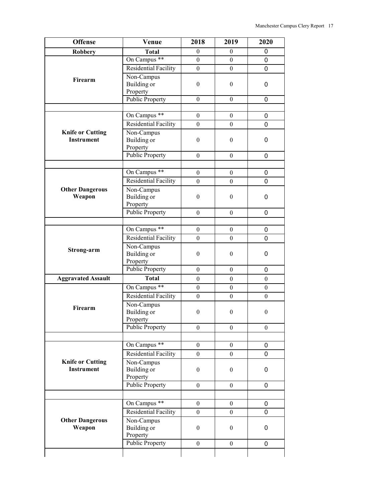| <b>Offense</b>                   | Venue                          | 2018             | 2019             | 2020             |
|----------------------------------|--------------------------------|------------------|------------------|------------------|
| <b>Robbery</b>                   | <b>Total</b>                   | 0                | $\theta$         | 0                |
|                                  | On Campus **                   | $\mathbf{0}$     | $\boldsymbol{0}$ | 0                |
|                                  | <b>Residential Facility</b>    | $\boldsymbol{0}$ | $\boldsymbol{0}$ | 0                |
|                                  | Non-Campus                     |                  |                  |                  |
| Firearm                          | Building or                    | $\theta$         | $\boldsymbol{0}$ | 0                |
|                                  | Property                       |                  |                  |                  |
|                                  | <b>Public Property</b>         | $\mathbf{0}$     | $\mathbf{0}$     | 0                |
|                                  |                                |                  |                  |                  |
|                                  | On Campus **                   | $\boldsymbol{0}$ | $\boldsymbol{0}$ | 0                |
|                                  | Residential Facility           | $\overline{0}$   | $\mathbf{0}$     | 0                |
| <b>Knife or Cutting</b>          | Non-Campus                     |                  |                  |                  |
| <b>Instrument</b>                | <b>Building</b> or             | $\boldsymbol{0}$ | $\boldsymbol{0}$ | 0                |
|                                  | Property                       |                  |                  |                  |
|                                  | <b>Public Property</b>         | $\boldsymbol{0}$ | $\boldsymbol{0}$ | 0                |
|                                  |                                |                  |                  |                  |
|                                  | On Campus **                   | $\boldsymbol{0}$ | $\boldsymbol{0}$ | 0                |
|                                  | Residential Facility           | $\overline{0}$   | $\boldsymbol{0}$ | 0                |
| <b>Other Dangerous</b>           | Non-Campus                     |                  |                  |                  |
| Weapon                           | <b>Building</b> or<br>Property | $\boldsymbol{0}$ | $\boldsymbol{0}$ | 0                |
|                                  | <b>Public Property</b>         | $\theta$         | $\theta$         | 0                |
|                                  |                                |                  |                  |                  |
|                                  | On Campus **                   | $\boldsymbol{0}$ | $\boldsymbol{0}$ | 0                |
|                                  | <b>Residential Facility</b>    | $\overline{0}$   | $\mathbf{0}$     | 0                |
|                                  | Non-Campus                     |                  |                  |                  |
| Strong-arm                       | <b>Building</b> or             | $\boldsymbol{0}$ | $\boldsymbol{0}$ | 0                |
|                                  | Property                       |                  |                  |                  |
|                                  | <b>Public Property</b>         | $\boldsymbol{0}$ | $\boldsymbol{0}$ | 0                |
| <b>Aggravated Assault</b>        | <b>Total</b>                   | $\boldsymbol{0}$ | $\boldsymbol{0}$ | $\boldsymbol{0}$ |
|                                  | On Campus **                   | $\boldsymbol{0}$ | $\boldsymbol{0}$ | $\mathbf{0}$     |
|                                  | <b>Residential Facility</b>    | $\boldsymbol{0}$ | $\boldsymbol{0}$ | $\boldsymbol{0}$ |
|                                  | Non-Campus                     |                  |                  |                  |
| Firearm                          | Building or                    | $\boldsymbol{0}$ | $\boldsymbol{0}$ | $\boldsymbol{0}$ |
|                                  | Property                       |                  |                  |                  |
|                                  | <b>Public Property</b>         | $\boldsymbol{0}$ | $\boldsymbol{0}$ | $\boldsymbol{0}$ |
|                                  |                                |                  |                  |                  |
|                                  | On Campus **                   | $\theta$         | $\theta$         | 0                |
|                                  | Residential Facility           | $\boldsymbol{0}$ | $\boldsymbol{0}$ | 0                |
| <b>Knife or Cutting</b>          | Non-Campus                     |                  | $\boldsymbol{0}$ |                  |
| <b>Instrument</b>                | Building or                    | $\theta$         |                  | 0                |
|                                  | Property                       |                  |                  |                  |
|                                  | <b>Public Property</b>         | $\boldsymbol{0}$ | $\boldsymbol{0}$ | 0                |
|                                  |                                |                  |                  |                  |
|                                  | On Campus <sup>**</sup>        | $\boldsymbol{0}$ | $\boldsymbol{0}$ | 0                |
|                                  | Residential Facility           | $\boldsymbol{0}$ | $\boldsymbol{0}$ | 0                |
| <b>Other Dangerous</b><br>Weapon | Non-Campus                     |                  |                  |                  |
|                                  | Building or                    | $\mathbf{0}$     | $\theta$         | 0                |
|                                  | Property                       |                  |                  |                  |
|                                  | <b>Public Property</b>         | $\boldsymbol{0}$ | $\theta$         | 0                |
|                                  |                                |                  |                  |                  |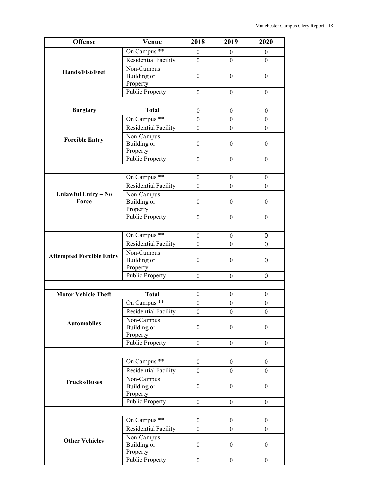| <b>Offense</b>                  | Venue                                       | 2018             | 2019             | 2020             |
|---------------------------------|---------------------------------------------|------------------|------------------|------------------|
| Hands/Fist/Feet                 | On Campus **                                | $\boldsymbol{0}$ | $\boldsymbol{0}$ | $\mathbf{0}$     |
|                                 | Residential Facility                        | $\theta$         | $\overline{0}$   | $\overline{0}$   |
|                                 | Non-Campus                                  |                  |                  |                  |
|                                 | Building or                                 | $\boldsymbol{0}$ | $\boldsymbol{0}$ | $\boldsymbol{0}$ |
|                                 | Property                                    |                  |                  |                  |
|                                 | <b>Public Property</b>                      | $\mathbf{0}$     | $\mathbf{0}$     | $\mathbf{0}$     |
|                                 |                                             |                  |                  |                  |
| <b>Burglary</b>                 | <b>Total</b>                                | $\boldsymbol{0}$ | $\boldsymbol{0}$ | $\boldsymbol{0}$ |
|                                 | On Campus **                                | $\boldsymbol{0}$ | $\boldsymbol{0}$ | $\boldsymbol{0}$ |
|                                 | <b>Residential Facility</b>                 | $\boldsymbol{0}$ | $\boldsymbol{0}$ | $\boldsymbol{0}$ |
| <b>Forcible Entry</b>           | Non-Campus                                  |                  |                  |                  |
|                                 | <b>Building</b> or                          | $\mathbf{0}$     | $\boldsymbol{0}$ | $\boldsymbol{0}$ |
|                                 | Property                                    |                  |                  |                  |
|                                 | <b>Public Property</b>                      | $\theta$         | $\theta$         | $\theta$         |
|                                 |                                             |                  |                  |                  |
|                                 | On Campus **                                | $\boldsymbol{0}$ | $\boldsymbol{0}$ | $\boldsymbol{0}$ |
|                                 | <b>Residential Facility</b>                 | $\boldsymbol{0}$ | $\boldsymbol{0}$ | $\overline{0}$   |
| <b>Unlawful Entry - No</b>      | Non-Campus                                  |                  |                  |                  |
| Force                           | Building or<br>Property                     | $\boldsymbol{0}$ | $\boldsymbol{0}$ | $\boldsymbol{0}$ |
|                                 | <b>Public Property</b>                      | $\boldsymbol{0}$ | $\boldsymbol{0}$ | $\boldsymbol{0}$ |
|                                 |                                             |                  |                  |                  |
|                                 |                                             |                  |                  |                  |
|                                 | On Campus **<br><b>Residential Facility</b> | $\boldsymbol{0}$ | $\boldsymbol{0}$ | 0                |
|                                 |                                             | $\boldsymbol{0}$ | $\boldsymbol{0}$ | 0                |
| <b>Attempted Forcible Entry</b> | Non-Campus<br><b>Building</b> or            | $\theta$         | $\boldsymbol{0}$ | $\Omega$         |
|                                 | Property                                    |                  |                  |                  |
|                                 | <b>Public Property</b>                      | $\boldsymbol{0}$ | $\boldsymbol{0}$ | 0                |
|                                 |                                             |                  |                  |                  |
| <b>Motor Vehicle Theft</b>      | <b>Total</b>                                | $\mathbf{0}$     | $\theta$         | $\boldsymbol{0}$ |
|                                 | On Campus **                                | $\boldsymbol{0}$ | $\mathbf{0}$     | $\boldsymbol{0}$ |
|                                 | <b>Residential Facility</b>                 | $\boldsymbol{0}$ | $\boldsymbol{0}$ | $\overline{0}$   |
|                                 | Non-Campus                                  |                  |                  |                  |
| <b>Automobiles</b>              | Building or                                 | $\boldsymbol{0}$ | $\boldsymbol{0}$ | $\boldsymbol{0}$ |
|                                 | Property                                    |                  |                  |                  |
|                                 | <b>Public Property</b>                      | $\boldsymbol{0}$ | $\boldsymbol{0}$ | $\boldsymbol{0}$ |
|                                 |                                             |                  |                  |                  |
|                                 | On Campus <sup>**</sup>                     | $\boldsymbol{0}$ | $\boldsymbol{0}$ | $\boldsymbol{0}$ |
|                                 | Residential Facility                        | $\boldsymbol{0}$ | $\boldsymbol{0}$ | $\boldsymbol{0}$ |
| <b>Trucks/Buses</b>             | Non-Campus                                  |                  |                  |                  |
|                                 | Building or                                 | $\boldsymbol{0}$ | $\boldsymbol{0}$ | $\boldsymbol{0}$ |
|                                 | Property                                    |                  |                  |                  |
|                                 | Public Property                             | $\boldsymbol{0}$ | $\boldsymbol{0}$ | $\boldsymbol{0}$ |
|                                 |                                             |                  |                  |                  |
|                                 | On Campus **                                | $\boldsymbol{0}$ | $\mathbf{0}$     | $\boldsymbol{0}$ |
|                                 | <b>Residential Facility</b>                 | $\overline{0}$   | $\overline{0}$   | $\overline{0}$   |
| <b>Other Vehicles</b>           | Non-Campus                                  |                  |                  |                  |
|                                 | Building or                                 | $\boldsymbol{0}$ | $\boldsymbol{0}$ | $\boldsymbol{0}$ |
|                                 | Property<br><b>Public Property</b>          |                  |                  |                  |
|                                 |                                             | $\boldsymbol{0}$ | $\boldsymbol{0}$ | $\boldsymbol{0}$ |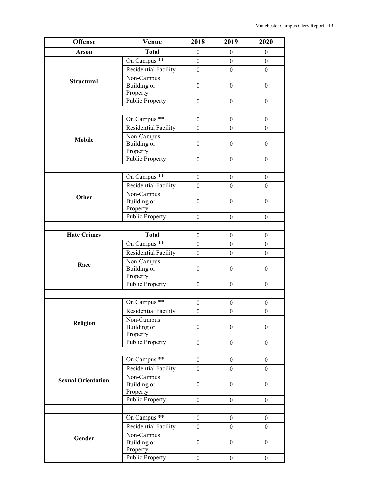| <b>Offense</b>            | Venue                                        | 2018             | 2019             | 2020             |
|---------------------------|----------------------------------------------|------------------|------------------|------------------|
| Arson                     | <b>Total</b>                                 | $\boldsymbol{0}$ | $\boldsymbol{0}$ | $\boldsymbol{0}$ |
| <b>Structural</b>         | On Campus **                                 | $\boldsymbol{0}$ | $\boldsymbol{0}$ | $\overline{0}$   |
|                           | Residential Facility                         | $\boldsymbol{0}$ | $\mathbf{0}$     | $\mathbf{0}$     |
|                           | Non-Campus<br><b>Building</b> or<br>Property | $\boldsymbol{0}$ | $\boldsymbol{0}$ | $\boldsymbol{0}$ |
|                           | <b>Public Property</b>                       | $\boldsymbol{0}$ | $\boldsymbol{0}$ | $\boldsymbol{0}$ |
|                           |                                              |                  |                  |                  |
|                           | On Campus **                                 | $\boldsymbol{0}$ | $\boldsymbol{0}$ | $\boldsymbol{0}$ |
|                           | Residential Facility                         | $\boldsymbol{0}$ | $\boldsymbol{0}$ | $\boldsymbol{0}$ |
| <b>Mobile</b>             | Non-Campus<br><b>Building</b> or<br>Property | $\boldsymbol{0}$ | $\boldsymbol{0}$ | $\boldsymbol{0}$ |
|                           | <b>Public Property</b>                       | $\boldsymbol{0}$ | $\boldsymbol{0}$ | $\boldsymbol{0}$ |
|                           |                                              |                  |                  |                  |
|                           | On Campus **                                 | $\boldsymbol{0}$ | $\boldsymbol{0}$ | $\boldsymbol{0}$ |
|                           | <b>Residential Facility</b>                  | $\mathbf{0}$     | $\boldsymbol{0}$ | $\overline{0}$   |
| Other                     | Non-Campus<br><b>Building</b> or<br>Property | $\boldsymbol{0}$ | $\boldsymbol{0}$ | $\boldsymbol{0}$ |
|                           | <b>Public Property</b>                       | $\boldsymbol{0}$ | $\boldsymbol{0}$ | $\boldsymbol{0}$ |
|                           |                                              |                  |                  |                  |
| <b>Hate Crimes</b>        | <b>Total</b>                                 | $\mathbf{0}$     | $\boldsymbol{0}$ | $\boldsymbol{0}$ |
|                           | On Campus **                                 | $\mathbf{0}$     | $\mathbf{0}$     | $\boldsymbol{0}$ |
|                           | <b>Residential Facility</b>                  | $\boldsymbol{0}$ | $\boldsymbol{0}$ | $\boldsymbol{0}$ |
| Race                      | Non-Campus<br><b>Building</b> or<br>Property | $\boldsymbol{0}$ | $\boldsymbol{0}$ | $\boldsymbol{0}$ |
|                           | <b>Public Property</b>                       | $\boldsymbol{0}$ | $\boldsymbol{0}$ | $\boldsymbol{0}$ |
|                           |                                              |                  |                  |                  |
|                           | On Campus **                                 | $\boldsymbol{0}$ | $\boldsymbol{0}$ | $\boldsymbol{0}$ |
|                           | <b>Residential Facility</b>                  | $\boldsymbol{0}$ | $\boldsymbol{0}$ | $\boldsymbol{0}$ |
| Religion                  | Non-Campus<br>Building or<br>Property        | $\boldsymbol{0}$ | $\boldsymbol{0}$ | $\boldsymbol{0}$ |
|                           | <b>Public Property</b>                       | $\boldsymbol{0}$ | $\boldsymbol{0}$ | $\boldsymbol{0}$ |
|                           |                                              |                  |                  |                  |
|                           | On Campus **                                 | $\boldsymbol{0}$ | $\boldsymbol{0}$ | $\boldsymbol{0}$ |
|                           | Residential Facility                         | $\boldsymbol{0}$ | $\boldsymbol{0}$ | $\boldsymbol{0}$ |
| <b>Sexual Orientation</b> | Non-Campus<br>Building or<br>Property        | $\boldsymbol{0}$ | $\boldsymbol{0}$ | $\boldsymbol{0}$ |
|                           | <b>Public Property</b>                       | $\boldsymbol{0}$ | $\boldsymbol{0}$ | $\boldsymbol{0}$ |
|                           |                                              |                  |                  |                  |
|                           | On Campus **                                 | $\boldsymbol{0}$ | $\boldsymbol{0}$ | $\boldsymbol{0}$ |
|                           | Residential Facility                         | $\boldsymbol{0}$ | $\mathbf{0}$     | $\boldsymbol{0}$ |
| Gender                    | Non-Campus<br>Building or<br>Property        | $\boldsymbol{0}$ | $\boldsymbol{0}$ | $\boldsymbol{0}$ |
|                           | <b>Public Property</b>                       | $\boldsymbol{0}$ | $\boldsymbol{0}$ | $\boldsymbol{0}$ |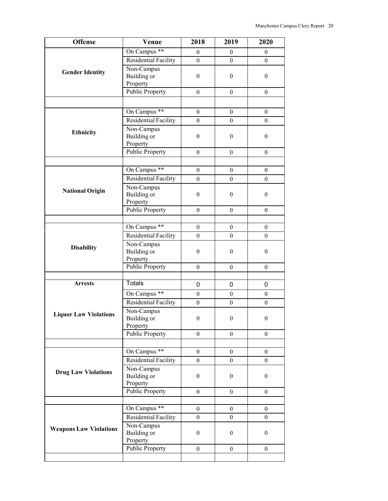| <b>Offense</b>                | <b>Venue</b>                | 2018             | 2019             | 2020             |
|-------------------------------|-----------------------------|------------------|------------------|------------------|
|                               | On Campus **                | $\mathbf{0}$     | $\boldsymbol{0}$ | $\overline{0}$   |
|                               | Residential Facility        | $\boldsymbol{0}$ | $\mathbf{0}$     | $\overline{0}$   |
|                               | Non-Campus                  |                  |                  |                  |
| <b>Gender Identity</b>        | <b>Building</b> or          | $\boldsymbol{0}$ | $\boldsymbol{0}$ | $\boldsymbol{0}$ |
|                               | Property                    |                  |                  |                  |
|                               | <b>Public Property</b>      | $\boldsymbol{0}$ | $\boldsymbol{0}$ | $\boldsymbol{0}$ |
|                               |                             |                  |                  |                  |
|                               | On Campus **                | $\boldsymbol{0}$ | $\boldsymbol{0}$ | $\boldsymbol{0}$ |
|                               | Residential Facility        | $\boldsymbol{0}$ | $\boldsymbol{0}$ | $\mathbf{0}$     |
| <b>Ethnicity</b>              | Non-Campus                  |                  |                  |                  |
|                               | Building or                 | $\boldsymbol{0}$ | $\boldsymbol{0}$ | $\boldsymbol{0}$ |
|                               | Property                    |                  |                  |                  |
|                               | Public Property             | $\theta$         | $\boldsymbol{0}$ | $\mathbf{0}$     |
|                               |                             |                  |                  |                  |
|                               | On Campus **                | $\boldsymbol{0}$ | $\boldsymbol{0}$ | $\boldsymbol{0}$ |
|                               | <b>Residential Facility</b> | $\boldsymbol{0}$ | $\boldsymbol{0}$ | $\mathbf{0}$     |
| <b>National Origin</b>        | Non-Campus                  |                  |                  |                  |
|                               | Building or                 | $\boldsymbol{0}$ | $\boldsymbol{0}$ | $\boldsymbol{0}$ |
|                               | Property                    |                  |                  |                  |
|                               | <b>Public Property</b>      | $\boldsymbol{0}$ | $\boldsymbol{0}$ | $\mathbf{0}$     |
|                               |                             |                  |                  |                  |
|                               | On Campus **                | $\boldsymbol{0}$ | $\boldsymbol{0}$ | $\boldsymbol{0}$ |
|                               | <b>Residential Facility</b> | $\boldsymbol{0}$ | $\mathbf{0}$     | $\mathbf{0}$     |
| <b>Disability</b>             | Non-Campus                  |                  | $\mathbf{0}$     |                  |
|                               | Building or<br>Property     | $\boldsymbol{0}$ |                  | $\boldsymbol{0}$ |
|                               | <b>Public Property</b>      | $\mathbf{0}$     | $\boldsymbol{0}$ | $\mathbf{0}$     |
|                               |                             |                  |                  |                  |
| <b>Arrests</b>                | Totals                      | 0                | 0                | 0                |
|                               | On Campus **                |                  |                  | $\boldsymbol{0}$ |
|                               |                             | $\boldsymbol{0}$ | $\boldsymbol{0}$ |                  |
|                               | Residential Facility        | $\boldsymbol{0}$ | $\boldsymbol{0}$ | $\boldsymbol{0}$ |
| <b>Liquor Law Violations</b>  | Non-Campus<br>Building or   | $\boldsymbol{0}$ | $\boldsymbol{0}$ | $\mathbf{0}$     |
|                               | Property                    |                  |                  |                  |
|                               | <b>Public Property</b>      | $\boldsymbol{0}$ | $\boldsymbol{0}$ | $\boldsymbol{0}$ |
|                               |                             |                  |                  |                  |
|                               | On Campus **                | $\boldsymbol{0}$ | $\boldsymbol{0}$ | $\boldsymbol{0}$ |
|                               | Residential Facility        | $\mathbf{0}$     | $\mathbf{0}$     | $\theta$         |
|                               | Non-Campus                  |                  |                  |                  |
| <b>Drug Law Violations</b>    | Building or                 | $\boldsymbol{0}$ | $\boldsymbol{0}$ | $\boldsymbol{0}$ |
|                               | Property                    |                  |                  |                  |
|                               | <b>Public Property</b>      | $\boldsymbol{0}$ | $\boldsymbol{0}$ | $\boldsymbol{0}$ |
|                               |                             |                  |                  |                  |
|                               | On Campus **                | $\boldsymbol{0}$ | $\boldsymbol{0}$ | $\boldsymbol{0}$ |
| <b>Weapons Law Violations</b> | Residential Facility        | $\boldsymbol{0}$ | $\boldsymbol{0}$ | $\mathbf{0}$     |
|                               | Non-Campus                  |                  |                  |                  |
|                               | Building or                 | $\boldsymbol{0}$ | $\mathbf{0}$     | $\boldsymbol{0}$ |
|                               | Property                    |                  |                  |                  |
|                               | <b>Public Property</b>      | $\boldsymbol{0}$ | $\boldsymbol{0}$ | $\boldsymbol{0}$ |
|                               |                             |                  |                  |                  |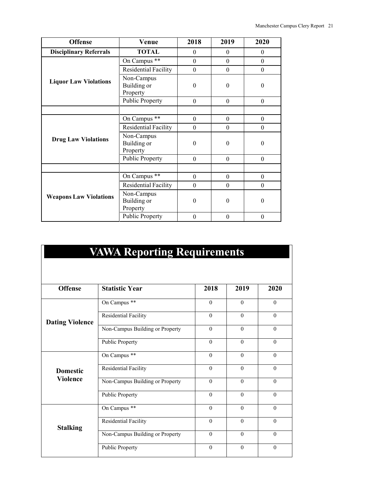| <b>Offense</b>                | Venue                                 | 2018             | 2019             | 2020             |
|-------------------------------|---------------------------------------|------------------|------------------|------------------|
| <b>Disciplinary Referrals</b> | <b>TOTAL</b>                          | $\theta$         | $\theta$         | $\theta$         |
|                               | On Campus **                          | $\boldsymbol{0}$ | $\boldsymbol{0}$ | $\boldsymbol{0}$ |
|                               | Residential Facility                  | $\theta$         | $\mathbf{0}$     | $\theta$         |
| <b>Liquor Law Violations</b>  | Non-Campus<br>Building or<br>Property | $\theta$         | $\theta$         | $\theta$         |
|                               | <b>Public Property</b>                | $\theta$         | $\boldsymbol{0}$ | $\theta$         |
|                               |                                       |                  |                  |                  |
|                               | On Campus **                          | $\theta$         | $\boldsymbol{0}$ | $\theta$         |
| <b>Drug Law Violations</b>    | Residential Facility                  | $\theta$         | $\boldsymbol{0}$ | $\theta$         |
|                               | Non-Campus<br>Building or<br>Property | $\Omega$         | $\mathbf{0}$     | $\theta$         |
|                               | <b>Public Property</b>                | $\theta$         | $\theta$         | $\theta$         |
|                               |                                       |                  |                  |                  |
|                               | On Campus **                          | $\theta$         | $\boldsymbol{0}$ | $\theta$         |
| <b>Weapons Law Violations</b> | Residential Facility                  | $\theta$         | $\theta$         | $\theta$         |
|                               | Non-Campus<br>Building or<br>Property | $\Omega$         | $\theta$         | $\theta$         |
|                               | <b>Public Property</b>                | $\mathbf{0}$     | $\mathbf{0}$     | $\boldsymbol{0}$ |

| <b>VAWA Reporting Requirements</b> |                                 |              |          |          |  |
|------------------------------------|---------------------------------|--------------|----------|----------|--|
| <b>Offense</b>                     | <b>Statistic Year</b>           | 2018         | 2019     | 2020     |  |
|                                    | On Campus **                    | $\theta$     | $\Omega$ | $\Omega$ |  |
| <b>Dating Violence</b>             | Residential Facility            | $\theta$     | $\Omega$ | $\theta$ |  |
|                                    | Non-Campus Building or Property | $\theta$     | $\Omega$ | $\Omega$ |  |
|                                    | Public Property                 | $\theta$     | $\Omega$ | $\theta$ |  |
| <b>Domestic</b><br><b>Violence</b> | On Campus **                    | $\theta$     | $\Omega$ | $\theta$ |  |
|                                    | Residential Facility            | $\theta$     | $\Omega$ | $\theta$ |  |
|                                    | Non-Campus Building or Property | $\theta$     | $\theta$ | $\theta$ |  |
|                                    | <b>Public Property</b>          | $\theta$     | $\Omega$ | $\Omega$ |  |
|                                    | On Campus **                    | $\theta$     | $\theta$ | $\theta$ |  |
| <b>Stalking</b>                    | Residential Facility            | $\theta$     | $\Omega$ | $\Omega$ |  |
|                                    | Non-Campus Building or Property | $\theta$     | $\Omega$ | $\Omega$ |  |
|                                    | Public Property                 | $\mathbf{0}$ | $\theta$ | $\theta$ |  |